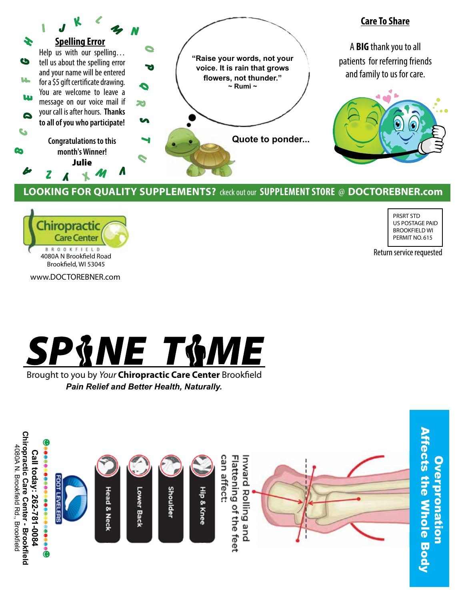

## **Looking for quality Supplements?** ckeck out our **Supplement Store** @ **DOCTOREBNER.com**



PRSRT STD US POSTAGE PAID BROOKFIELD WI PERMIT NO. 615

Return service requested

www.DOCTOREBNER.com



Brought to you by *Your* Chiropractic Care Center Brookfield *Pain Relief and Better Health, Naturally.*



Overpronation **Overpronation**